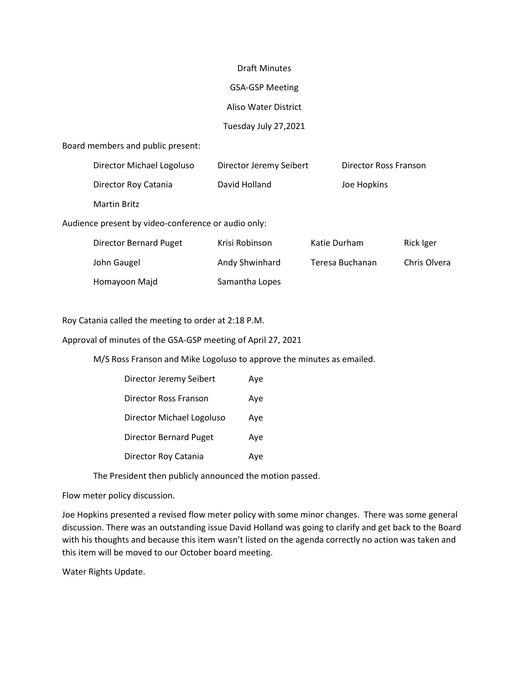#### Draft Minutes

# GSA-GSP Meeting

### Aliso Water District

## Tuesday July 27,2021

#### Board members and public present:

| Director Michael Logoluso                           | Director Jeremy Seibert | Director Ross Franson |  |
|-----------------------------------------------------|-------------------------|-----------------------|--|
| Director Roy Catania                                | David Holland           | Joe Hopkins           |  |
| Martin Britz                                        |                         |                       |  |
| Audience present by video-conference or audio only: |                         |                       |  |
| .                                                   |                         |                       |  |

| <b>Director Bernard Puget</b> | Krisi Robinson | Katie Durham    | Rick Iger    |
|-------------------------------|----------------|-----------------|--------------|
| John Gaugel                   | Andy Shwinhard | Teresa Buchanan | Chris Olvera |
| Homayoon Majd                 | Samantha Lopes |                 |              |

Roy Catania called the meeting to order at 2:18 P.M.

Approval of minutes of the GSA-GSP meeting of April 27, 2021

M/S Ross Franson and Mike Logoluso to approve the minutes as emailed.

| Director Jeremy Seibert       | Aye |
|-------------------------------|-----|
| Director Ross Franson         | Aye |
| Director Michael Logoluso     | Aye |
| <b>Director Bernard Puget</b> | Aye |
| Director Roy Catania          | Aye |

The President then publicly announced the motion passed.

Flow meter policy discussion.

Joe Hopkins presented a revised flow meter policy with some minor changes. There was some general discussion. There was an outstanding issue David Holland was going to clarify and get back to the Board with his thoughts and because this item wasn't listed on the agenda correctly no action was taken and this item will be moved to our October board meeting.

Water Rights Update.